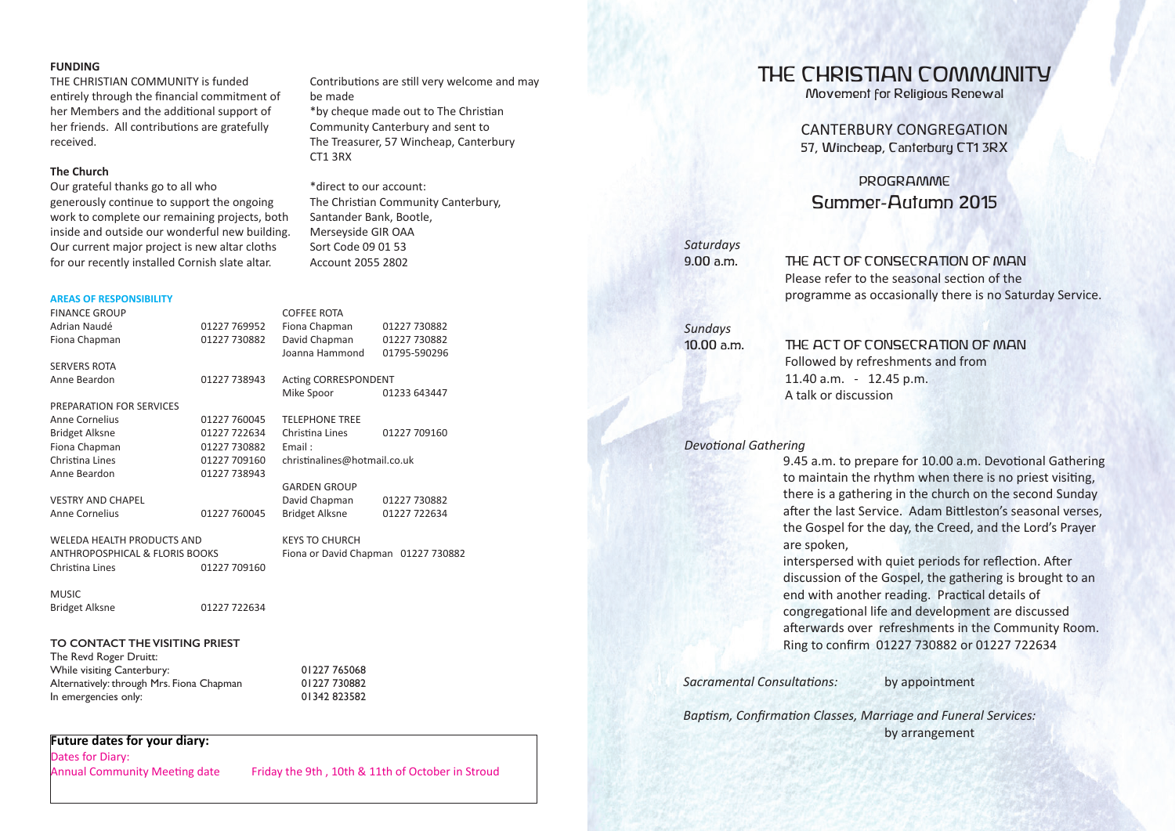#### **FUNDING**

THE CHRISTIAN COMMUNITY is funded entirely through the financial commitment of her Members and the additional support of her friends. All contributions are gratefully received.

### **The Church**

Our grateful thanks go to all who generously continue to support the ongoing work to complete our remaining projects, both inside and outside our wonderful new building. Our current major project is new altar cloths for our recently installed Cornish slate altar.

#### **AREAS OF RESPONSIBILITY**

FINANCE GROUP Adrian Naudé 01227 769952 Fiona Chapman 01227 730882 SERVERS ROTA Anne Beardon 01227 738943 PREPARATION FOR SERVICES Anne Cornelius 01227 760045 Bridget Alksne 01227 722634 Fiona Chapman 01227 730882 Christina Lines 01227 709160<br>Anne Beardon 01227 738943 01227 738943 VESTRY AND CHAPEL Anne Cornelius 01227 760045 WELEDA HEALTH PRODUCTS AND ANTHROPOSPHICAL & FLORIS BOOKS Christina Lines 01227 709160 Bridget Alksne 01227 722634 COFFEE ROTA Fiona Chapman 01227 730882 David Chapman 01227 730882<br>Joanna Hammond 01795-590296 Joanna Hammond Acting CORRESPONDENT Mike Spoor 01233 643447 TELEPHONE TREE Christina Lines 01227 709160 Email : christi nalines@hotmail.co.uk GARDEN GROUP David Chapman 01227 730882 Bridget Alksne 01227 722634 KEYS TO CHURCH Fiona or David Chapman 01227 730882 **TO CONTACT THE VISITING PRIEST** The Revd Roger Druitt: While visiting Canterbury: 01227 765068 Alternatively: through Mrs. Fiona Chapman 01227 730882 In emergencies only: 01342 823582

**Future dates for your diary:**

**MUSIC** 

Dates for Diary:

Annual Community Meeting date Friday the 9th , 10th & 11th of October in Stroud

Contributions are still very welcome and may be made

\*by cheque made out to The Christian Community Canterbury and sent to The Treasurer, 57 Wincheap, Canterbury CT1 3RX

\*direct to our account: The Christian Community Canterbury, Santander Bank, Bootle, Merseyside GIR OAA Sort Code 09 01 53 Account 2055 2802

Movement for Religious Renewal

CANTERBURY CONGREGATION 57, Wincheap, Canterbury CT1 3RX

THE CHRISTIAN COMMUNITY

PROGRAMME Summer-Autumn 2015

*Saturdays*

9.00 a.m. THE ACT OF CONSECRATION OF MAN Please refer to the seasonal section of the programme as occasionally there is no Saturday Service.

*Sundays*

10.00 a.m. THE ACT OF CONSECRATION OF MAN Followed by refreshments and from 11.40 a.m. - 12.45 p.m. A talk or discussion

## **Devotional Gathering**

9.45 a.m. to prepare for 10.00 a.m. Devotional Gathering to maintain the rhythm when there is no priest visiting, there is a gathering in the church on the second Sunday after the last Service. Adam Bittleston's seasonal verses, the Gospel for the day, the Creed, and the Lord's Prayer are spoken,

interspersed with quiet periods for reflection. After discussion of the Gospel, the gathering is brought to an end with another reading. Practical details of congregational life and development are discussed afterwards over refreshments in the Community Room. Ring to confirm 01227 730882 or 01227 722634

**Sacramental Consultations:** by appointment

**Baptism, Confirmation Classes, Marriage and Funeral Services:** by arrangement